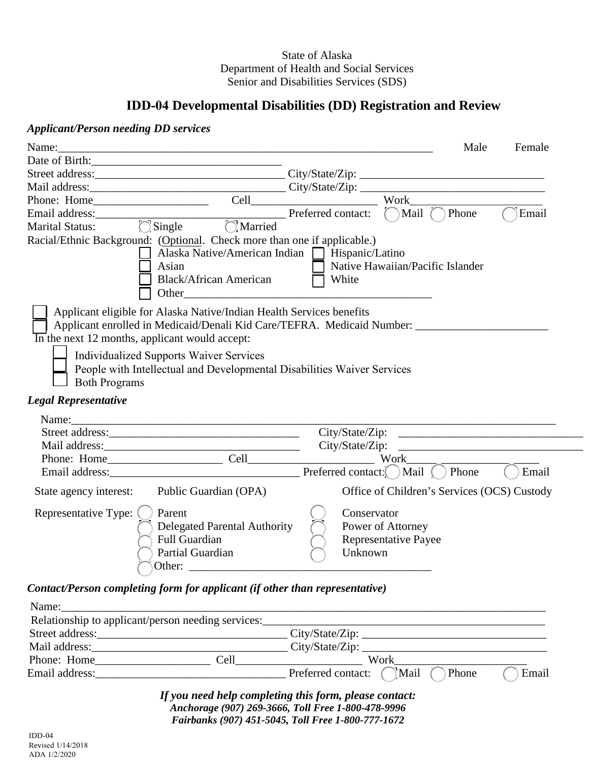### State of Alaska Department of Health and Social Services Senior and Disabilities Services (SDS)

# **IDD-04 Developmental Disabilities (DD) Registration and Review**

### *Applicant/Person needing DD services*

| Name:                                                                                                                                                                                                                                                                                                                                                                          | <u> 2000 - 2000 - 2000 - 2000 - 2000 - 2000 - 2000 - 2000 - 2000 - 2000 - 2000 - 2000 - 2000 - 2000 - 2000 - 200</u>                                        |                                                                            | Male  | Female |
|--------------------------------------------------------------------------------------------------------------------------------------------------------------------------------------------------------------------------------------------------------------------------------------------------------------------------------------------------------------------------------|-------------------------------------------------------------------------------------------------------------------------------------------------------------|----------------------------------------------------------------------------|-------|--------|
| Date of Birth:                                                                                                                                                                                                                                                                                                                                                                 |                                                                                                                                                             |                                                                            |       |        |
|                                                                                                                                                                                                                                                                                                                                                                                |                                                                                                                                                             |                                                                            |       |        |
|                                                                                                                                                                                                                                                                                                                                                                                |                                                                                                                                                             |                                                                            |       |        |
| Phone: Home                                                                                                                                                                                                                                                                                                                                                                    |                                                                                                                                                             | Work                                                                       |       |        |
|                                                                                                                                                                                                                                                                                                                                                                                | Preferred contact:                                                                                                                                          | $\bigcap$ Mail $\bigcap$                                                   | Phone | Email  |
| $\bigcirc$ Single $\bigcirc$ Married<br><b>Marital Status:</b>                                                                                                                                                                                                                                                                                                                 |                                                                                                                                                             |                                                                            |       |        |
| Racial/Ethnic Background: (Optional. Check more than one if applicable.)<br>Asian<br>Other<br>Applicant eligible for Alaska Native/Indian Health Services benefits<br>Applicant enrolled in Medicaid/Denali Kid Care/TEFRA. Medicaid Number: _____________________________<br>In the next 12 months, applicant would accept:<br><b>Individualized Supports Waiver Services</b> | Alaska Native/American Indian   Hispanic/Latino<br><b>Black/African American</b><br>People with Intellectual and Developmental Disabilities Waiver Services | Native Hawaiian/Pacific Islander<br>White                                  |       |        |
| <b>Both Programs</b><br><b>Legal Representative</b>                                                                                                                                                                                                                                                                                                                            |                                                                                                                                                             |                                                                            |       |        |
| Name:                                                                                                                                                                                                                                                                                                                                                                          |                                                                                                                                                             |                                                                            |       |        |
|                                                                                                                                                                                                                                                                                                                                                                                |                                                                                                                                                             |                                                                            |       |        |
|                                                                                                                                                                                                                                                                                                                                                                                |                                                                                                                                                             |                                                                            |       |        |
|                                                                                                                                                                                                                                                                                                                                                                                |                                                                                                                                                             | Work                                                                       |       |        |
| Email address: Preferred contact: Mail ( ) Phone                                                                                                                                                                                                                                                                                                                               |                                                                                                                                                             |                                                                            |       | Email  |
| State agency interest:                                                                                                                                                                                                                                                                                                                                                         | Public Guardian (OPA)                                                                                                                                       | Office of Children's Services (OCS) Custody                                |       |        |
| Representative Type: (<br>Parent<br><b>Full Guardian</b><br>Partial Guardian<br>$\bigcap_{k \in \mathbb{N}}$                                                                                                                                                                                                                                                                   | Delegated Parental Authority                                                                                                                                | Conservator<br>Power of Attorney<br><b>Representative Payee</b><br>Unknown |       |        |

*Contact/Person completing form for applicant (if other than representative)* 

 $\bigcup$ 

| Name:                                              |      |                                                     |  |
|----------------------------------------------------|------|-----------------------------------------------------|--|
| Relationship to applicant/person needing services: |      |                                                     |  |
| Street address:                                    |      | City/State/Zip:                                     |  |
| Mail address:                                      |      | City/State/Zip:                                     |  |
| Phone: Home                                        | Cell | Work                                                |  |
| Email address:                                     |      | Preferred contact: $\bigcap$ Mail<br>Phone<br>Email |  |

Other: \_\_\_\_\_\_\_\_\_\_\_\_\_\_\_\_\_\_\_\_\_\_\_\_\_\_\_\_\_\_\_\_\_\_\_\_\_\_\_\_\_\_

*If you need help completing this form, please contact: Anchorage (907) 269-3666, Toll Free 1-800-478-9996 Fairbanks (907) 451-5045, Toll Free 1-800-777-1672*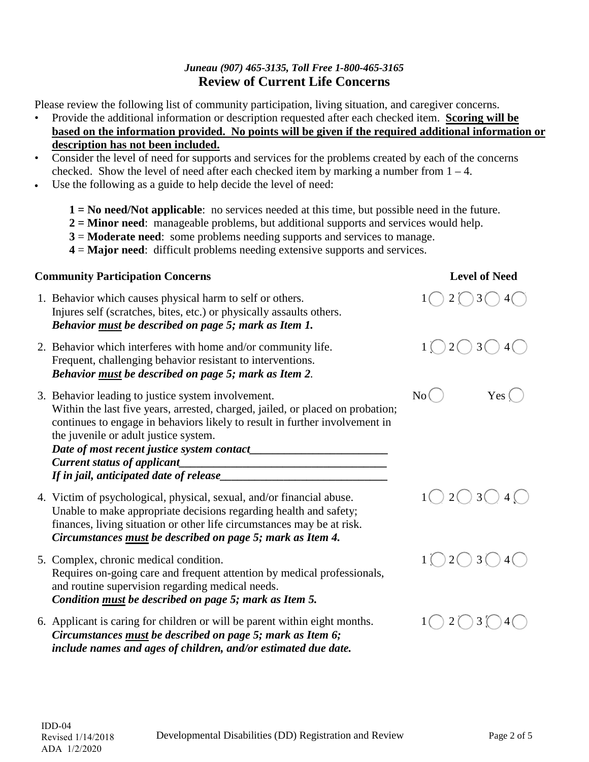## *Juneau (907) 465-3135, Toll Free 1-800-465-3165*  **Review of Current Life Concerns**

Please review the following list of community participation, living situation, and caregiver concerns.

- Provide the additional information or description requested after each checked item. **Scoring will be based on the information provided. No points will be given if the required additional information or description has not been included.**
- Consider the level of need for supports and services for the problems created by each of the concerns checked. Show the level of need after each checked item by marking a number from  $1 - 4$ .
- Use the following as a guide to help decide the level of need:
	- **1 = No need/Not applicable**: no services needed at this time, but possible need in the future.
	- **2 = Minor need**: manageable problems, but additional supports and services would help.
	- **3** = **Moderate need**: some problems needing supports and services to manage.
	- **4** = **Major need**: difficult problems needing extensive supports and services.

### **Community Participation Concerns**

- 1. Behavior which causes physical harm to self or others. Injures self (scratches, bites, etc.) or physically assaults others. *Behavior must be described on page 5; mark as Item 1.*
- 2. Behavior which interferes with home and/or community life. Frequent, challenging behavior resistant to interventions. *Behavior must be described on page 5; mark as Item 2.*
- 3. Behavior leading to justice system involvement. Within the last five years, arrested, charged, jailed, or placed on probation; continues to engage in behaviors likely to result in further involvement in the juvenile or adult justice system. *Date of most recent justice system contact\_\_\_\_\_\_\_\_\_\_\_\_\_\_\_\_\_\_\_\_\_\_\_\_*

| <b>Current status of applicant</b>      |  |
|-----------------------------------------|--|
| If in jail, anticipated date of release |  |

- 4. Victim of psychological, physical, sexual, and/or financial abuse. Unable to make appropriate decisions regarding health and safety; finances, living situation or other life circumstances may be at risk. *Circumstances must be described on page 5; mark as Item 4.*
- 5. Complex, chronic medical condition. Requires on-going care and frequent attention by medical professionals, and routine supervision regarding medical needs. *Condition must be described on page 5; mark as Item 5.*
- 6. Applicant is caring for children or will be parent within eight months. *Circumstances must be described on page 5; mark as Item 6; include names and ages of children, and/or estimated due date.*









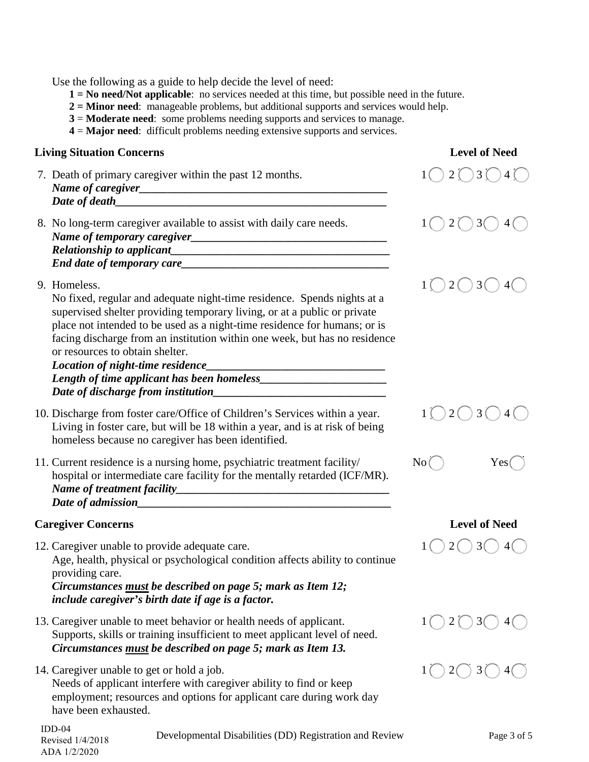$1$   $\bigcirc$   $2$   $\bigcirc$   $3$   $\bigcirc$   $4$   $\bigcirc$  $1$   $\bigcirc$  2  $\bigcirc$  3  $\bigcirc$  4  $\bigcirc$ 9. Homeless.  $1 \bigcup 2 \bigcup 3 \bigcup 4 \bigcup$  $1 \cup 2 \cup 3 \cup 4 \cup$  $No$   $Yes$   $\bigcirc$  $1 \bigcup 2 \bigcup 3 \bigcup 4 \bigcup$  $1$   $\bigcirc$  2  $\bigcirc$  3  $\bigcirc$  4  $\bigcirc$  $1$  (  $2$  (  $3$  (  $3$  (  $4$  (  $\overline{)}$ Use the following as a guide to help decide the level of need: **1 = No need/Not applicable**: no services needed at this time, but possible need in the future. **2 = Minor need**: manageable problems, but additional supports and services would help. **3** = **Moderate need**: some problems needing supports and services to manage. **4** = **Major need**: difficult problems needing extensive supports and services. **Living Situation Concerns Level of Need**  7. Death of primary caregiver within the past 12 months. *Name of caregiver\_\_\_\_\_\_\_\_\_\_\_\_\_\_\_\_\_\_\_\_\_\_\_\_\_\_\_\_\_\_\_\_\_\_\_\_\_\_\_\_\_\_\_* Date of death 8. No long-term caregiver available to assist with daily care needs. *Name of temporary caregiver\_\_\_\_\_\_\_\_\_\_\_\_\_\_\_\_\_\_\_\_\_\_\_\_\_\_\_\_\_\_\_\_\_\_ Relationship to applicant End date of temporary care\_\_\_\_\_\_\_\_\_\_\_\_\_\_\_\_\_\_\_\_\_\_\_\_\_\_\_\_\_\_\_\_\_\_\_\_* No fixed, regular and adequate night-time residence. Spends nights at a supervised shelter providing temporary living, or at a public or private place not intended to be used as a night-time residence for humans; or is facing discharge from an institution within one week, but has no residence or resources to obtain shelter. *Location of night-time residence\_\_\_\_\_\_\_\_\_\_\_\_\_\_\_\_\_\_\_\_\_\_\_\_\_\_\_\_\_\_\_ Length of time applicant has been homeless Date of discharge from institution\_\_\_\_\_\_\_\_\_\_\_\_\_\_\_\_\_\_\_\_\_\_\_\_\_\_\_\_\_\_* 10. Discharge from foster care/Office of Children's Services within a year. Living in foster care, but will be 18 within a year, and is at risk of being homeless because no caregiver has been identified. 11. Current residence is a nursing home, psychiatric treatment facility/ hospital or intermediate care facility for the mentally retarded (ICF/MR). *Name of treatment facility\_\_\_\_\_\_\_\_\_\_\_\_\_\_\_\_\_\_\_\_\_\_\_\_\_\_\_\_\_\_\_\_\_\_\_\_\_ Date of admission\_\_\_\_\_\_\_\_\_\_\_\_\_\_\_\_\_\_\_\_\_\_\_\_\_\_\_\_\_\_\_\_\_\_\_\_\_\_\_\_\_\_\_\_* **Caregiver Concerns Level of Need** 12. Caregiver unable to provide adequate care. Age, health, physical or psychological condition affects ability to continue providing care. *Circumstances must be described on page 5; mark as Item 12; include caregiver's birth date if age is a factor.* 13. Caregiver unable to meet behavior or health needs of applicant. Supports, skills or training insufficient to meet applicant level of need. *Circumstances must be described on page 5; mark as Item 13.* 14. Caregiver unable to get or hold a job. Needs of applicant interfere with caregiver ability to find or keep employment; resources and options for applicant care during work day have been exhausted.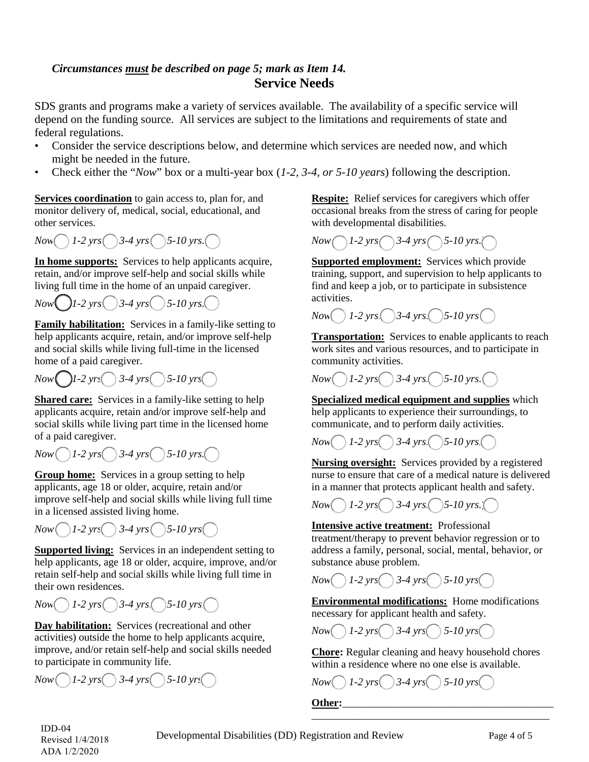# *Circumstances must be described on page 5; mark as Item 14.*  **Service Needs**

SDS grants and programs make a variety of services available. The availability of a specific service will depend on the funding source. All services are subject to the limitations and requirements of state and federal regulations.

- Consider the service descriptions below, and determine which services are needed now, and which might be needed in the future.
- Check either the "*Now*" box or a multi-year box (*1-2, 3-4, or 5-10 years*) following the description.

**Services coordination** to gain access to, plan for, and monitor delivery of, medical, social, educational, and other services.

*Now*  $\bigcap$  *1-2 yrs*  $\bigcap$  *3-4 yrs*  $\bigcap$  *5-10 yrs.*  $\bigcap$ 

**In home supports:** Services to help applicants acquire, retain, and/or improve self-help and social skills while living full time in the home of an unpaid caregiver.

 $Now \bigcup I$ -2  $yrs$ .  $3-4$   $yrs$ .  $5-10$   $yrs$ .

**Family habilitation:** Services in a family-like setting to help applicants acquire, retain, and/or improve self-help and social skills while living full-time in the licensed home of a paid caregiver.

*Now*  $\bigcap I - 2 \text{ yrs} \bigcap 3 - 4 \text{ yrs} \bigcap 5 - 10 \text{ yrs} \bigcap$ 

**Shared care:** Services in a family-like setting to help applicants acquire, retain and/or improve self-help and social skills while living part time in the licensed home of a paid caregiver.

 $Now$   $1-2$   $yrs$   $3-4$   $yrs$   $5-10$   $yrs$ .

**Group home:** Services in a group setting to help applicants, age 18 or older, acquire, retain and/or improve self-help and social skills while living full time in a licensed assisted living home.



**Supported living:** Services in an independent setting to help applicants, age 18 or older, acquire, improve, and/or retain self-help and social skills while living full time in their own residences.

 $Now \cup 1$ -2  $yrs \cup 3$ -4  $yrs \cup 5$ -10  $yrs \cup 1$ 

**Day habilitation:** Services (recreational and other activities) outside the home to help applicants acquire, improve, and/or retain self-help and social skills needed to participate in community life.

*Now*  $\bigcap I$ *-2 yrs*  $\bigcap$  3-4 yrs  $\bigcap$  5-10 yrs.

**Respite:** Relief services for caregivers which offer occasional breaks from the stress of caring for people with developmental disabilities.



**Supported employment:** Services which provide training, support, and supervision to help applicants to find and keep a job, or to participate in subsistence activities.

 $Now() 1-2 \, yrs() 3-4 \, yrs() 5-10 \, yrs()$ 

**Transportation:** Services to enable applicants to reach work sites and various resources, and to participate in community activities.

 $1-2 \text{ yrs}$   $3-4 \text{ yrs}$   $5-10 \text{ yrs}$   $\sim$  *Now*  $1-2 \text{ yrs}$   $3-4 \text{ yrs}$   $5-10 \text{ yrs}$ .

**Specialized medical equipment and supplies** which help applicants to experience their surroundings, to communicate, and to perform daily activities.

 $Now \cup 1-2 \text{ yrs} \cup 3-4 \text{ yrs} \cup 5-10 \text{ yrs}.$ 

**Nursing oversight:** Services provided by a registered nurse to ensure that care of a medical nature is delivered in a manner that protects applicant health and safety.



**Intensive active treatment:** Professional treatment/therapy to prevent behavior regression or to address a family, personal, social, mental, behavior, or substance abuse problem.

 $Now \cup 1$ -2  $yrs \cup 3$ -4  $yrs \cup 5$ -10  $yrs \cup$ 

**Environmental modifications:** Home modifications necessary for applicant health and safety.

*Now 1-2 yrs* 3-4 *yrs* 5-10 *yrs* 

**Chore:** Regular cleaning and heavy household chores within a residence where no one else is available.

 $1-2 \text{ yrs}$   $3-4 \text{ yrs}$   $5-10 \text{ yrs}$   $\sim$  *Now*  $1-2 \text{ yrs}$   $3-4 \text{ yrs}$   $5-10 \text{ yrs}$ 

\_\_\_\_\_\_\_\_\_\_\_\_\_\_\_\_\_\_\_\_\_\_\_\_\_\_\_\_\_\_\_\_\_\_\_\_\_\_\_\_\_\_\_\_\_ Other:

IDD-04 Revised 1/4/2018 ADA 1/2/2020